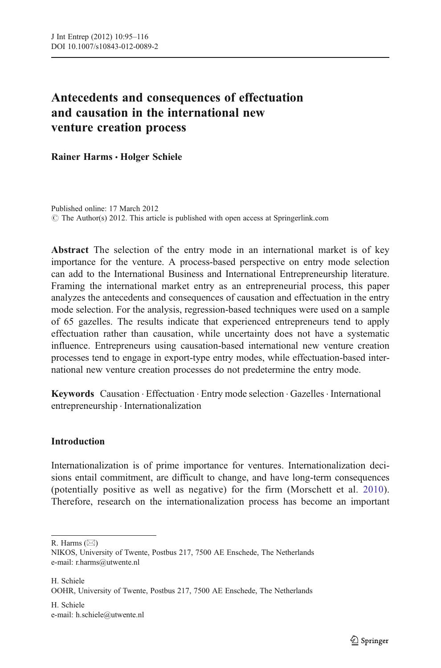# Antecedents and consequences of effectuation and causation in the international new venture creation process

Rainer Harms · Holger Schiele

Published online: 17 March 2012  $\circ$  The Author(s) 2012. This article is published with open access at Springerlink.com

Abstract The selection of the entry mode in an international market is of key importance for the venture. A process-based perspective on entry mode selection can add to the International Business and International Entrepreneurship literature. Framing the international market entry as an entrepreneurial process, this paper analyzes the antecedents and consequences of causation and effectuation in the entry mode selection. For the analysis, regression-based techniques were used on a sample of 65 gazelles. The results indicate that experienced entrepreneurs tend to apply effectuation rather than causation, while uncertainty does not have a systematic influence. Entrepreneurs using causation-based international new venture creation processes tend to engage in export-type entry modes, while effectuation-based international new venture creation processes do not predetermine the entry mode.

Keywords Causation . Effectuation . Entry mode selection . Gazelles. International entrepreneurship . Internationalization

### Introduction

Internationalization is of prime importance for ventures. Internationalization decisions entail commitment, are difficult to change, and have long-term consequences (potentially positive as well as negative) for the firm (Morschett et al. [2010\)](#page-20-0). Therefore, research on the internationalization process has become an important

R. Harms  $(\boxtimes)$ 

NIKOS, University of Twente, Postbus 217, 7500 AE Enschede, The Netherlands e-mail: r.harms@utwente.nl

H. Schiele OOHR, University of Twente, Postbus 217, 7500 AE Enschede, The Netherlands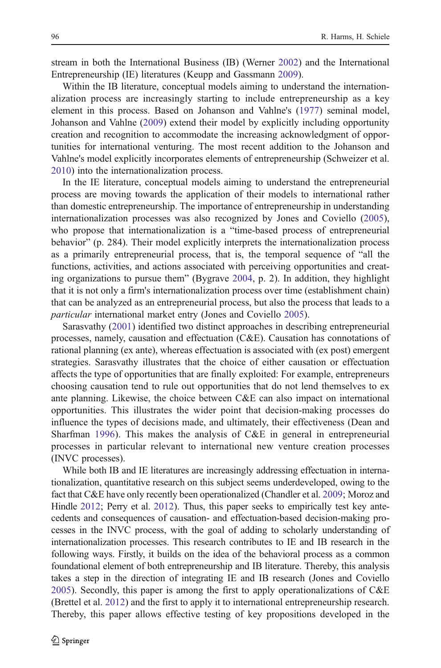stream in both the International Business (IB) (Werner [2002\)](#page-20-0) and the International Entrepreneurship (IE) literatures (Keupp and Gassmann [2009](#page-19-0)).

Within the IB literature, conceptual models aiming to understand the internationalization process are increasingly starting to include entrepreneurship as a key element in this process. Based on Johanson and Vahlne's [\(1977](#page-19-0)) seminal model, Johanson and Vahlne ([2009\)](#page-19-0) extend their model by explicitly including opportunity creation and recognition to accommodate the increasing acknowledgment of opportunities for international venturing. The most recent addition to the Johanson and Vahlne's model explicitly incorporates elements of entrepreneurship (Schweizer et al. [2010\)](#page-20-0) into the internationalization process.

In the IE literature, conceptual models aiming to understand the entrepreneurial process are moving towards the application of their models to international rather than domestic entrepreneurship. The importance of entrepreneurship in understanding internationalization processes was also recognized by Jones and Coviello ([2005\)](#page-19-0), who propose that internationalization is a "time-based process of entrepreneurial behavior" (p. 284). Their model explicitly interprets the internationalization process as a primarily entrepreneurial process, that is, the temporal sequence of "all the functions, activities, and actions associated with perceiving opportunities and creating organizations to pursue them" (Bygrave [2004,](#page-19-0) p. 2). In addition, they highlight that it is not only a firm's internationalization process over time (establishment chain) that can be analyzed as an entrepreneurial process, but also the process that leads to a particular international market entry (Jones and Coviello [2005](#page-19-0)).

Sarasvathy ([2001\)](#page-20-0) identified two distinct approaches in describing entrepreneurial processes, namely, causation and effectuation (C&E). Causation has connotations of rational planning (ex ante), whereas effectuation is associated with (ex post) emergent strategies. Sarasvathy illustrates that the choice of either causation or effectuation affects the type of opportunities that are finally exploited: For example, entrepreneurs choosing causation tend to rule out opportunities that do not lend themselves to ex ante planning. Likewise, the choice between C&E can also impact on international opportunities. This illustrates the wider point that decision-making processes do influence the types of decisions made, and ultimately, their effectiveness (Dean and Sharfman [1996\)](#page-19-0). This makes the analysis of C&E in general in entrepreneurial processes in particular relevant to international new venture creation processes (INVC processes).

While both IB and IE literatures are increasingly addressing effectuation in internationalization, quantitative research on this subject seems underdeveloped, owing to the fact that C&E have only recently been operationalized (Chandler et al. [2009;](#page-19-0) Moroz and Hindle [2012](#page-20-0); Perry et al. 2012). Thus, this paper seeks to empirically test key antecedents and consequences of causation- and effectuation-based decision-making processes in the INVC process, with the goal of adding to scholarly understanding of internationalization processes. This research contributes to IE and IB research in the following ways. Firstly, it builds on the idea of the behavioral process as a common foundational element of both entrepreneurship and IB literature. Thereby, this analysis takes a step in the direction of integrating IE and IB research (Jones and Coviello [2005\)](#page-19-0). Secondly, this paper is among the first to apply operationalizations of  $CAE$ (Brettel et al. [2012\)](#page-18-0) and the first to apply it to international entrepreneurship research. Thereby, this paper allows effective testing of key propositions developed in the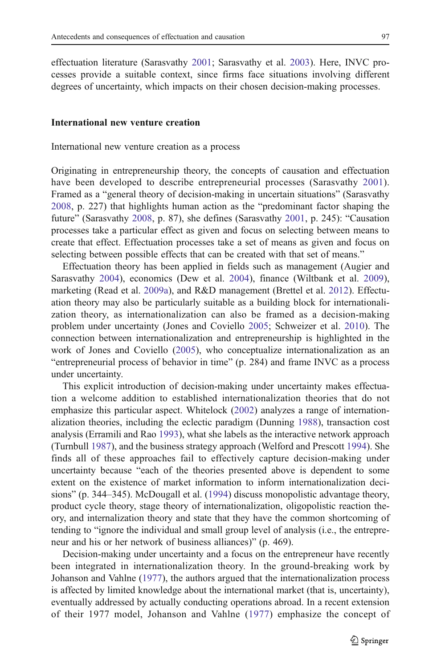effectuation literature (Sarasvathy [2001](#page-20-0); Sarasvathy et al. [2003\)](#page-20-0). Here, INVC processes provide a suitable context, since firms face situations involving different degrees of uncertainty, which impacts on their chosen decision-making processes.

#### International new venture creation

International new venture creation as a process

Originating in entrepreneurship theory, the concepts of causation and effectuation have been developed to describe entrepreneurial processes (Sarasvathy [2001](#page-20-0)). Framed as a "general theory of decision-making in uncertain situations" (Sarasvathy [2008,](#page-20-0) p. 227) that highlights human action as the "predominant factor shaping the future" (Sarasvathy [2008,](#page-20-0) p. 87), she defines (Sarasvathy [2001](#page-20-0), p. 245): "Causation processes take a particular effect as given and focus on selecting between means to create that effect. Effectuation processes take a set of means as given and focus on selecting between possible effects that can be created with that set of means."

Effectuation theory has been applied in fields such as management (Augier and Sarasvathy [2004](#page-18-0)), economics (Dew et al. [2004\)](#page-19-0), finance (Wiltbank et al. [2009\)](#page-21-0), marketing (Read et al. [2009a\)](#page-20-0), and R&D management (Brettel et al. [2012\)](#page-18-0). Effectuation theory may also be particularly suitable as a building block for internationalization theory, as internationalization can also be framed as a decision-making problem under uncertainty (Jones and Coviello [2005;](#page-19-0) Schweizer et al. [2010](#page-20-0)). The connection between internationalization and entrepreneurship is highlighted in the work of Jones and Coviello [\(2005](#page-19-0)), who conceptualize internationalization as an "entrepreneurial process of behavior in time" (p. 284) and frame INVC as a process under uncertainty.

This explicit introduction of decision-making under uncertainty makes effectuation a welcome addition to established internationalization theories that do not emphasize this particular aspect. Whitelock [\(2002](#page-20-0)) analyzes a range of internationalization theories, including the eclectic paradigm (Dunning [1988\)](#page-19-0), transaction cost analysis (Erramili and Rao [1993](#page-19-0)), what she labels as the interactive network approach (Turnbull [1987\)](#page-20-0), and the business strategy approach (Welford and Prescott [1994](#page-20-0)). She finds all of these approaches fail to effectively capture decision-making under uncertainty because "each of the theories presented above is dependent to some extent on the existence of market information to inform internationalization decisions" (p. 344–345). McDougall et al. [\(1994](#page-20-0)) discuss monopolistic advantage theory, product cycle theory, stage theory of internationalization, oligopolistic reaction theory, and internalization theory and state that they have the common shortcoming of tending to "ignore the individual and small group level of analysis (i.e., the entrepreneur and his or her network of business alliances)" (p. 469).

Decision-making under uncertainty and a focus on the entrepreneur have recently been integrated in internationalization theory. In the ground-breaking work by Johanson and Vahlne ([1977\)](#page-19-0), the authors argued that the internationalization process is affected by limited knowledge about the international market (that is, uncertainty), eventually addressed by actually conducting operations abroad. In a recent extension of their 1977 model, Johanson and Vahlne ([1977\)](#page-19-0) emphasize the concept of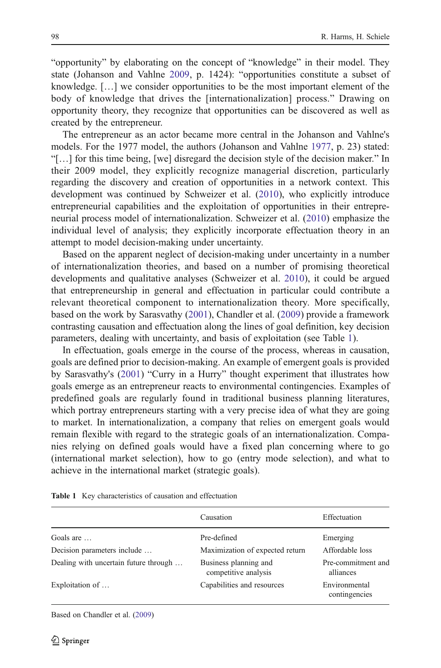"opportunity" by elaborating on the concept of "knowledge" in their model. They state (Johanson and Vahlne [2009,](#page-19-0) p. 1424): "opportunities constitute a subset of knowledge. […] we consider opportunities to be the most important element of the body of knowledge that drives the [internationalization] process." Drawing on opportunity theory, they recognize that opportunities can be discovered as well as created by the entrepreneur.

The entrepreneur as an actor became more central in the Johanson and Vahlne's models. For the 1977 model, the authors (Johanson and Vahlne [1977](#page-19-0), p. 23) stated: "[…] for this time being, [we] disregard the decision style of the decision maker." In their 2009 model, they explicitly recognize managerial discretion, particularly regarding the discovery and creation of opportunities in a network context. This development was continued by Schweizer et al. ([2010\)](#page-20-0), who explicitly introduce entrepreneurial capabilities and the exploitation of opportunities in their entrepreneurial process model of internationalization. Schweizer et al. [\(2010](#page-20-0)) emphasize the individual level of analysis; they explicitly incorporate effectuation theory in an attempt to model decision-making under uncertainty.

Based on the apparent neglect of decision-making under uncertainty in a number of internationalization theories, and based on a number of promising theoretical developments and qualitative analyses (Schweizer et al. [2010](#page-20-0)), it could be argued that entrepreneurship in general and effectuation in particular could contribute a relevant theoretical component to internationalization theory. More specifically, based on the work by Sarasvathy ([2001\)](#page-20-0), Chandler et al. ([2009\)](#page-19-0) provide a framework contrasting causation and effectuation along the lines of goal definition, key decision parameters, dealing with uncertainty, and basis of exploitation (see Table 1).

In effectuation, goals emerge in the course of the process, whereas in causation, goals are defined prior to decision-making. An example of emergent goals is provided by Sarasvathy's [\(2001](#page-20-0)) "Curry in a Hurry" thought experiment that illustrates how goals emerge as an entrepreneur reacts to environmental contingencies. Examples of predefined goals are regularly found in traditional business planning literatures, which portray entrepreneurs starting with a very precise idea of what they are going to market. In internationalization, a company that relies on emergent goals would remain flexible with regard to the strategic goals of an internationalization. Companies relying on defined goals would have a fixed plan concerning where to go (international market selection), how to go (entry mode selection), and what to achieve in the international market (strategic goals).

|                                       | Causation                                     | Effectuation                    |
|---------------------------------------|-----------------------------------------------|---------------------------------|
| Goals are $\dots$                     | Pre-defined                                   | Emerging                        |
| Decision parameters include           | Maximization of expected return               | Affordable loss                 |
| Dealing with uncertain future through | Business planning and<br>competitive analysis | Pre-commitment and<br>alliances |
| Exploitation of                       | Capabilities and resources                    | Environmental<br>contingencies  |

Table 1 Key characteristics of causation and effectuation

Based on Chandler et al. ([2009\)](#page-19-0)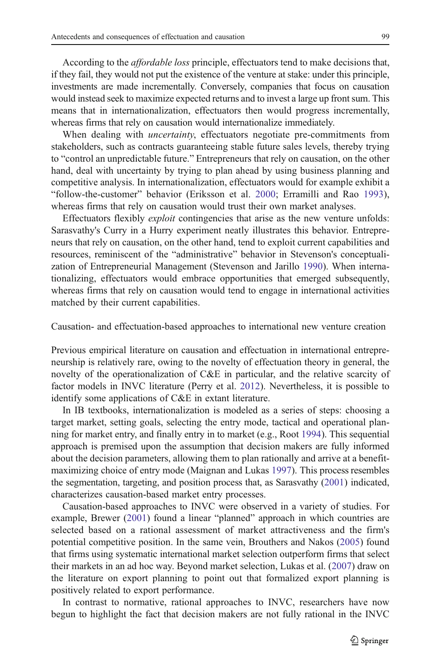According to the affordable loss principle, effectuators tend to make decisions that, if they fail, they would not put the existence of the venture at stake: under this principle, investments are made incrementally. Conversely, companies that focus on causation would instead seek to maximize expected returns and to invest a large up front sum. This means that in internationalization, effectuators then would progress incrementally, whereas firms that rely on causation would internationalize immediately.

When dealing with *uncertainty*, effectuators negotiate pre-commitments from stakeholders, such as contracts guaranteeing stable future sales levels, thereby trying to "control an unpredictable future." Entrepreneurs that rely on causation, on the other hand, deal with uncertainty by trying to plan ahead by using business planning and competitive analysis. In internationalization, effectuators would for example exhibit a "follow-the-customer" behavior (Eriksson et al. [2000;](#page-19-0) Erramilli and Rao [1993\)](#page-19-0), whereas firms that rely on causation would trust their own market analyses.

Effectuators flexibly *exploit* contingencies that arise as the new venture unfolds: Sarasvathy's Curry in a Hurry experiment neatly illustrates this behavior. Entrepreneurs that rely on causation, on the other hand, tend to exploit current capabilities and resources, reminiscent of the "administrative" behavior in Stevenson's conceptualization of Entrepreneurial Management (Stevenson and Jarillo [1990\)](#page-20-0). When internationalizing, effectuators would embrace opportunities that emerged subsequently, whereas firms that rely on causation would tend to engage in international activities matched by their current capabilities.

Causation- and effectuation-based approaches to international new venture creation

Previous empirical literature on causation and effectuation in international entrepreneurship is relatively rare, owing to the novelty of effectuation theory in general, the novelty of the operationalization of C&E in particular, and the relative scarcity of factor models in INVC literature (Perry et al. [2012](#page-20-0)). Nevertheless, it is possible to identify some applications of C&E in extant literature.

In IB textbooks, internationalization is modeled as a series of steps: choosing a target market, setting goals, selecting the entry mode, tactical and operational planning for market entry, and finally entry in to market (e.g., Root [1994](#page-20-0)). This sequential approach is premised upon the assumption that decision makers are fully informed about the decision parameters, allowing them to plan rationally and arrive at a benefitmaximizing choice of entry mode (Maignan and Lukas [1997\)](#page-19-0). This process resembles the segmentation, targeting, and position process that, as Sarasvathy [\(2001](#page-20-0)) indicated, characterizes causation-based market entry processes.

Causation-based approaches to INVC were observed in a variety of studies. For example, Brewer [\(2001](#page-18-0)) found a linear "planned" approach in which countries are selected based on a rational assessment of market attractiveness and the firm's potential competitive position. In the same vein, Brouthers and Nakos ([2005\)](#page-19-0) found that firms using systematic international market selection outperform firms that select their markets in an ad hoc way. Beyond market selection, Lukas et al. ([2007\)](#page-19-0) draw on the literature on export planning to point out that formalized export planning is positively related to export performance.

In contrast to normative, rational approaches to INVC, researchers have now begun to highlight the fact that decision makers are not fully rational in the INVC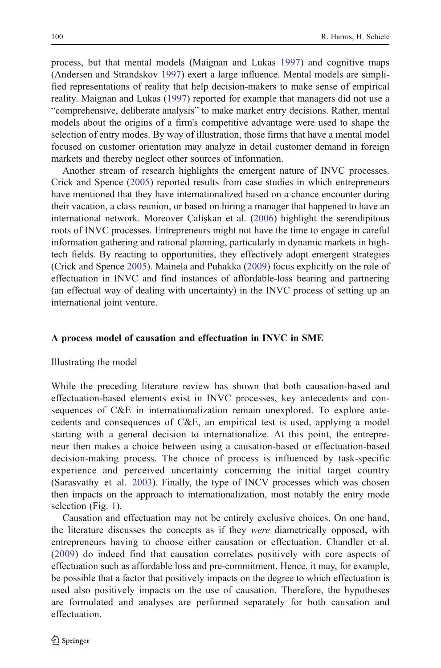process, but that mental models (Maignan and Lukas [1997](#page-19-0)) and cognitive maps (Andersen and Strandskov [1997\)](#page-18-0) exert a large influence. Mental models are simplified representations of reality that help decision-makers to make sense of empirical reality. Maignan and Lukas [\(1997](#page-19-0)) reported for example that managers did not use a "comprehensive, deliberate analysis" to make market entry decisions. Rather, mental models about the origins of a firm's competitive advantage were used to shape the selection of entry modes. By way of illustration, those firms that have a mental model focused on customer orientation may analyze in detail customer demand in foreign markets and thereby neglect other sources of information.

Another stream of research highlights the emergent nature of INVC processes. Crick and Spence ([2005\)](#page-19-0) reported results from case studies in which entrepreneurs have mentioned that they have internationalized based on a chance encounter during their vacation, a class reunion, or based on hiring a manager that happened to have an international network. Moreover Çalişkan et al. ([2006\)](#page-19-0) highlight the serendipitous roots of INVC processes. Entrepreneurs might not have the time to engage in careful information gathering and rational planning, particularly in dynamic markets in hightech fields. By reacting to opportunities, they effectively adopt emergent strategies (Crick and Spence [2005](#page-19-0)). Mainela and Puhakka [\(2009](#page-19-0)) focus explicitly on the role of effectuation in INVC and find instances of affordable-loss bearing and partnering (an effectual way of dealing with uncertainty) in the INVC process of setting up an international joint venture.

#### A process model of causation and effectuation in INVC in SME

### Illustrating the model

While the preceding literature review has shown that both causation-based and effectuation-based elements exist in INVC processes, key antecedents and consequences of C&E in internationalization remain unexplored. To explore antecedents and consequences of C&E, an empirical test is used, applying a model starting with a general decision to internationalize. At this point, the entrepreneur then makes a choice between using a causation-based or effectuation-based decision-making process. The choice of process is influenced by task-specific experience and perceived uncertainty concerning the initial target country (Sarasvathy et al. [2003\)](#page-20-0). Finally, the type of INCV processes which was chosen then impacts on the approach to internationalization, most notably the entry mode selection (Fig. [1\)](#page-6-0).

Causation and effectuation may not be entirely exclusive choices. On one hand, the literature discusses the concepts as if they were diametrically opposed, with entrepreneurs having to choose either causation or effectuation. Chandler et al. [\(2009\)](#page-19-0) do indeed find that causation correlates positively with core aspects of effectuation such as affordable loss and pre-commitment. Hence, it may, for example, be possible that a factor that positively impacts on the degree to which effectuation is used also positively impacts on the use of causation. Therefore, the hypotheses are formulated and analyses are performed separately for both causation and effectuation.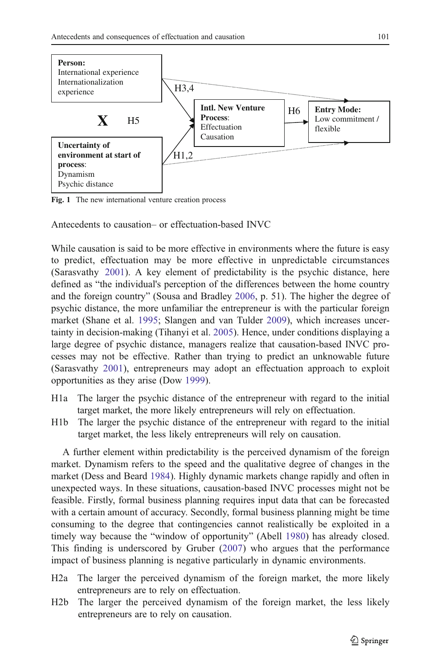<span id="page-6-0"></span>

Fig. 1 The new international venture creation process

Antecedents to causation– or effectuation-based INVC

While causation is said to be more effective in environments where the future is easy to predict, effectuation may be more effective in unpredictable circumstances (Sarasvathy [2001\)](#page-20-0). A key element of predictability is the psychic distance, here defined as "the individual's perception of the differences between the home country and the foreign country" (Sousa and Bradley [2006](#page-20-0), p. 51). The higher the degree of psychic distance, the more unfamiliar the entrepreneur is with the particular foreign market (Shane et al. [1995;](#page-20-0) Slangen and van Tulder [2009\)](#page-20-0), which increases uncertainty in decision-making (Tihanyi et al. [2005\)](#page-20-0). Hence, under conditions displaying a large degree of psychic distance, managers realize that causation-based INVC processes may not be effective. Rather than trying to predict an unknowable future (Sarasvathy [2001\)](#page-20-0), entrepreneurs may adopt an effectuation approach to exploit opportunities as they arise (Dow [1999](#page-19-0)).

- H1a The larger the psychic distance of the entrepreneur with regard to the initial target market, the more likely entrepreneurs will rely on effectuation.
- H1b The larger the psychic distance of the entrepreneur with regard to the initial target market, the less likely entrepreneurs will rely on causation.

A further element within predictability is the perceived dynamism of the foreign market. Dynamism refers to the speed and the qualitative degree of changes in the market (Dess and Beard [1984\)](#page-19-0). Highly dynamic markets change rapidly and often in unexpected ways. In these situations, causation-based INVC processes might not be feasible. Firstly, formal business planning requires input data that can be forecasted with a certain amount of accuracy. Secondly, formal business planning might be time consuming to the degree that contingencies cannot realistically be exploited in a timely way because the "window of opportunity" (Abell [1980\)](#page-18-0) has already closed. This finding is underscored by Gruber ([2007\)](#page-19-0) who argues that the performance impact of business planning is negative particularly in dynamic environments.

- H2a The larger the perceived dynamism of the foreign market, the more likely entrepreneurs are to rely on effectuation.
- H2b The larger the perceived dynamism of the foreign market, the less likely entrepreneurs are to rely on causation.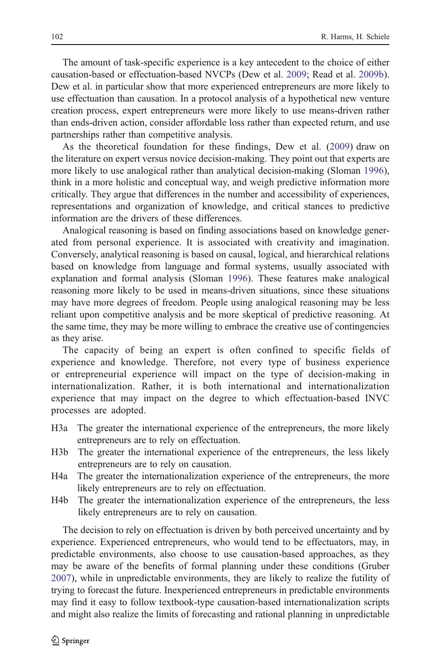The amount of task-specific experience is a key antecedent to the choice of either causation-based or effectuation-based NVCPs (Dew et al. [2009;](#page-19-0) Read et al. [2009b\)](#page-20-0). Dew et al. in particular show that more experienced entrepreneurs are more likely to use effectuation than causation. In a protocol analysis of a hypothetical new venture creation process, expert entrepreneurs were more likely to use means-driven rather than ends-driven action, consider affordable loss rather than expected return, and use partnerships rather than competitive analysis.

As the theoretical foundation for these findings, Dew et al. ([2009\)](#page-19-0) draw on the literature on expert versus novice decision-making. They point out that experts are more likely to use analogical rather than analytical decision-making (Sloman [1996\)](#page-20-0), think in a more holistic and conceptual way, and weigh predictive information more critically. They argue that differences in the number and accessibility of experiences, representations and organization of knowledge, and critical stances to predictive information are the drivers of these differences.

Analogical reasoning is based on finding associations based on knowledge generated from personal experience. It is associated with creativity and imagination. Conversely, analytical reasoning is based on causal, logical, and hierarchical relations based on knowledge from language and formal systems, usually associated with explanation and formal analysis (Sloman [1996\)](#page-20-0). These features make analogical reasoning more likely to be used in means-driven situations, since these situations may have more degrees of freedom. People using analogical reasoning may be less reliant upon competitive analysis and be more skeptical of predictive reasoning. At the same time, they may be more willing to embrace the creative use of contingencies as they arise.

The capacity of being an expert is often confined to specific fields of experience and knowledge. Therefore, not every type of business experience or entrepreneurial experience will impact on the type of decision-making in internationalization. Rather, it is both international and internationalization experience that may impact on the degree to which effectuation-based INVC processes are adopted.

- H3a The greater the international experience of the entrepreneurs, the more likely entrepreneurs are to rely on effectuation.
- H3b The greater the international experience of the entrepreneurs, the less likely entrepreneurs are to rely on causation.
- H4a The greater the internationalization experience of the entrepreneurs, the more likely entrepreneurs are to rely on effectuation.
- H4b The greater the internationalization experience of the entrepreneurs, the less likely entrepreneurs are to rely on causation.

The decision to rely on effectuation is driven by both perceived uncertainty and by experience. Experienced entrepreneurs, who would tend to be effectuators, may, in predictable environments, also choose to use causation-based approaches, as they may be aware of the benefits of formal planning under these conditions (Gruber [2007\)](#page-19-0), while in unpredictable environments, they are likely to realize the futility of trying to forecast the future. Inexperienced entrepreneurs in predictable environments may find it easy to follow textbook-type causation-based internationalization scripts and might also realize the limits of forecasting and rational planning in unpredictable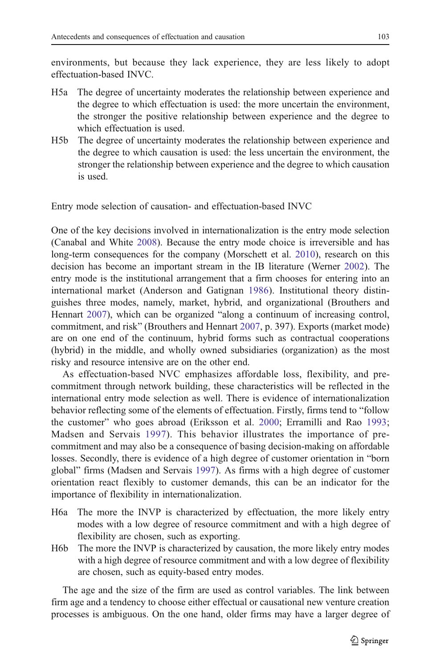environments, but because they lack experience, they are less likely to adopt effectuation-based INVC.

- H5a The degree of uncertainty moderates the relationship between experience and the degree to which effectuation is used: the more uncertain the environment, the stronger the positive relationship between experience and the degree to which effectuation is used.
- H5b The degree of uncertainty moderates the relationship between experience and the degree to which causation is used: the less uncertain the environment, the stronger the relationship between experience and the degree to which causation is used.

Entry mode selection of causation- and effectuation-based INVC

One of the key decisions involved in internationalization is the entry mode selection (Canabal and White [2008\)](#page-19-0). Because the entry mode choice is irreversible and has long-term consequences for the company (Morschett et al. [2010](#page-20-0)), research on this decision has become an important stream in the IB literature (Werner [2002](#page-20-0)). The entry mode is the institutional arrangement that a firm chooses for entering into an international market (Anderson and Gatignan [1986\)](#page-18-0). Institutional theory distinguishes three modes, namely, market, hybrid, and organizational (Brouthers and Hennart [2007\)](#page-19-0), which can be organized "along a continuum of increasing control, commitment, and risk" (Brouthers and Hennart [2007](#page-19-0), p. 397). Exports (market mode) are on one end of the continuum, hybrid forms such as contractual cooperations (hybrid) in the middle, and wholly owned subsidiaries (organization) as the most risky and resource intensive are on the other end.

As effectuation-based NVC emphasizes affordable loss, flexibility, and precommitment through network building, these characteristics will be reflected in the international entry mode selection as well. There is evidence of internationalization behavior reflecting some of the elements of effectuation. Firstly, firms tend to "follow the customer" who goes abroad (Eriksson et al. [2000](#page-19-0); Erramilli and Rao [1993;](#page-19-0) Madsen and Servais [1997\)](#page-19-0). This behavior illustrates the importance of precommitment and may also be a consequence of basing decision-making on affordable losses. Secondly, there is evidence of a high degree of customer orientation in "born global" firms (Madsen and Servais [1997\)](#page-19-0). As firms with a high degree of customer orientation react flexibly to customer demands, this can be an indicator for the importance of flexibility in internationalization.

- H6a The more the INVP is characterized by effectuation, the more likely entry modes with a low degree of resource commitment and with a high degree of flexibility are chosen, such as exporting.
- H6b The more the INVP is characterized by causation, the more likely entry modes with a high degree of resource commitment and with a low degree of flexibility are chosen, such as equity-based entry modes.

The age and the size of the firm are used as control variables. The link between firm age and a tendency to choose either effectual or causational new venture creation processes is ambiguous. On the one hand, older firms may have a larger degree of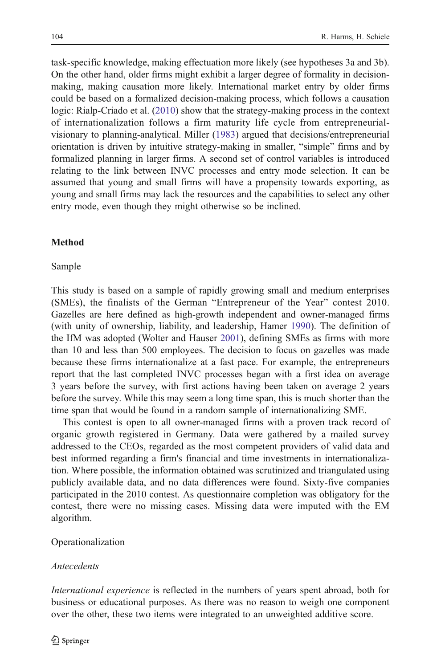task-specific knowledge, making effectuation more likely (see hypotheses 3a and 3b). On the other hand, older firms might exhibit a larger degree of formality in decisionmaking, making causation more likely. International market entry by older firms could be based on a formalized decision-making process, which follows a causation logic: Rialp-Criado et al. ([2010\)](#page-20-0) show that the strategy-making process in the context of internationalization follows a firm maturity life cycle from entrepreneurialvisionary to planning-analytical. Miller ([1983\)](#page-20-0) argued that decisions/entrepreneurial orientation is driven by intuitive strategy-making in smaller, "simple" firms and by formalized planning in larger firms. A second set of control variables is introduced relating to the link between INVC processes and entry mode selection. It can be assumed that young and small firms will have a propensity towards exporting, as young and small firms may lack the resources and the capabilities to select any other entry mode, even though they might otherwise so be inclined.

### Method

#### Sample

This study is based on a sample of rapidly growing small and medium enterprises (SMEs), the finalists of the German "Entrepreneur of the Year" contest 2010. Gazelles are here defined as high-growth independent and owner-managed firms (with unity of ownership, liability, and leadership, Hamer [1990\)](#page-19-0). The definition of the IfM was adopted (Wolter and Hauser [2001\)](#page-21-0), defining SMEs as firms with more than 10 and less than 500 employees. The decision to focus on gazelles was made because these firms internationalize at a fast pace. For example, the entrepreneurs report that the last completed INVC processes began with a first idea on average 3 years before the survey, with first actions having been taken on average 2 years before the survey. While this may seem a long time span, this is much shorter than the time span that would be found in a random sample of internationalizing SME.

This contest is open to all owner-managed firms with a proven track record of organic growth registered in Germany. Data were gathered by a mailed survey addressed to the CEOs, regarded as the most competent providers of valid data and best informed regarding a firm's financial and time investments in internationalization. Where possible, the information obtained was scrutinized and triangulated using publicly available data, and no data differences were found. Sixty-five companies participated in the 2010 contest. As questionnaire completion was obligatory for the contest, there were no missing cases. Missing data were imputed with the EM algorithm.

### Operationalization

### Antecedents

International experience is reflected in the numbers of years spent abroad, both for business or educational purposes. As there was no reason to weigh one component over the other, these two items were integrated to an unweighted additive score.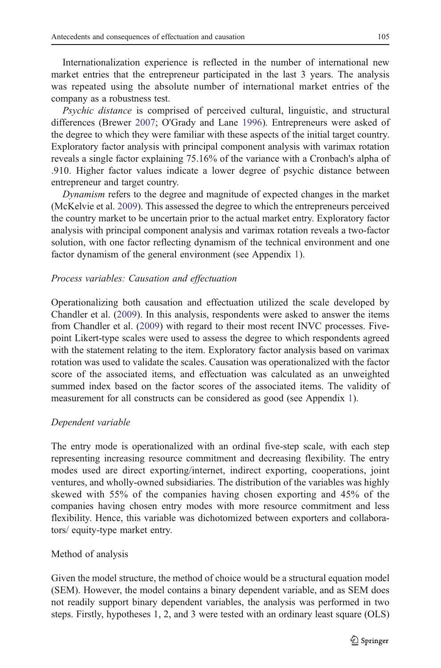Internationalization experience is reflected in the number of international new market entries that the entrepreneur participated in the last 3 years. The analysis was repeated using the absolute number of international market entries of the company as a robustness test.

Psychic distance is comprised of perceived cultural, linguistic, and structural differences (Brewer [2007;](#page-19-0) O'Grady and Lane [1996](#page-20-0)). Entrepreneurs were asked of the degree to which they were familiar with these aspects of the initial target country. Exploratory factor analysis with principal component analysis with varimax rotation reveals a single factor explaining 75.16% of the variance with a Cronbach's alpha of .910. Higher factor values indicate a lower degree of psychic distance between entrepreneur and target country.

Dynamism refers to the degree and magnitude of expected changes in the market (McKelvie et al. [2009](#page-20-0)). This assessed the degree to which the entrepreneurs perceived the country market to be uncertain prior to the actual market entry. Exploratory factor analysis with principal component analysis and varimax rotation reveals a two-factor solution, with one factor reflecting dynamism of the technical environment and one factor dynamism of the general environment (see Appendix [1](#page-17-0)).

### Process variables: Causation and effectuation

Operationalizing both causation and effectuation utilized the scale developed by Chandler et al. ([2009\)](#page-19-0). In this analysis, respondents were asked to answer the items from Chandler et al. [\(2009](#page-19-0)) with regard to their most recent INVC processes. Fivepoint Likert-type scales were used to assess the degree to which respondents agreed with the statement relating to the item. Exploratory factor analysis based on varimax rotation was used to validate the scales. Causation was operationalized with the factor score of the associated items, and effectuation was calculated as an unweighted summed index based on the factor scores of the associated items. The validity of measurement for all constructs can be considered as good (see Appendix [1\)](#page-17-0).

### Dependent variable

The entry mode is operationalized with an ordinal five-step scale, with each step representing increasing resource commitment and decreasing flexibility. The entry modes used are direct exporting/internet, indirect exporting, cooperations, joint ventures, and wholly-owned subsidiaries. The distribution of the variables was highly skewed with 55% of the companies having chosen exporting and 45% of the companies having chosen entry modes with more resource commitment and less flexibility. Hence, this variable was dichotomized between exporters and collaborators/ equity-type market entry.

### Method of analysis

Given the model structure, the method of choice would be a structural equation model (SEM). However, the model contains a binary dependent variable, and as SEM does not readily support binary dependent variables, the analysis was performed in two steps. Firstly, hypotheses 1, 2, and 3 were tested with an ordinary least square (OLS)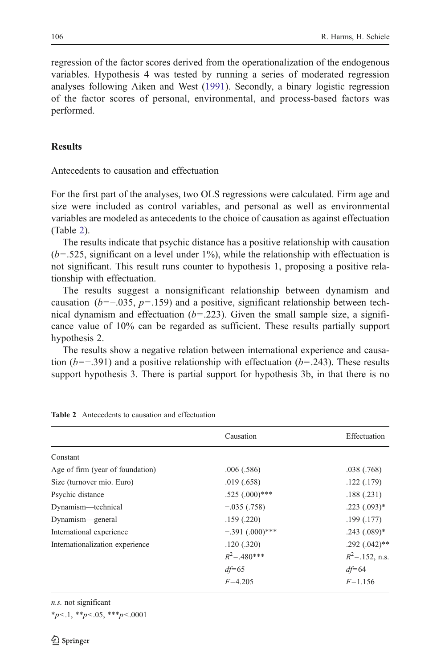regression of the factor scores derived from the operationalization of the endogenous variables. Hypothesis 4 was tested by running a series of moderated regression analyses following Aiken and West [\(1991](#page-18-0)). Secondly, a binary logistic regression of the factor scores of personal, environmental, and process-based factors was performed.

## **Results**

Antecedents to causation and effectuation

For the first part of the analyses, two OLS regressions were calculated. Firm age and size were included as control variables, and personal as well as environmental variables are modeled as antecedents to the choice of causation as against effectuation (Table 2).

The results indicate that psychic distance has a positive relationship with causation  $(b=.525,$  significant on a level under 1%), while the relationship with effectuation is not significant. This result runs counter to hypothesis 1, proposing a positive relationship with effectuation.

The results suggest a nonsignificant relationship between dynamism and causation ( $b=-.035$ ,  $p=.159$ ) and a positive, significant relationship between technical dynamism and effectuation  $(b=223)$ . Given the small sample size, a significance value of 10% can be regarded as sufficient. These results partially support hypothesis 2.

The results show a negative relation between international experience and causation ( $b=-.391$ ) and a positive relationship with effectuation ( $b=-.243$ ). These results support hypothesis 3. There is partial support for hypothesis 3b, in that there is no

|                                  | Causation         | Effectuation      |
|----------------------------------|-------------------|-------------------|
| Constant                         |                   |                   |
| Age of firm (year of foundation) | .006(.586)        | .038(.768)        |
| Size (turnover mio. Euro)        | .019(.658)        | .122(.179)        |
| Psychic distance                 | $.525(.000)$ ***  | .188(.231)        |
| Dynamism—technical               | $-0.035(0.758)$   | $.223(.093)*$     |
| Dynamism-general                 | .159(.220)        | .199(.177)        |
| International experience         | $-.391(.000)$ *** | $.243(.089)*$     |
| Internationalization experience  | .120(.320)        | $.292(.042)$ **   |
|                                  | $R^2$ = 480***    | $R^2$ =.152, n.s. |
|                                  | $df=65$           | $df=64$           |
|                                  | $F = 4.205$       | $F = 1.156$       |
|                                  |                   |                   |

n.s. not significant

 $*_{p<.1,**p<.05,***p<.0001}$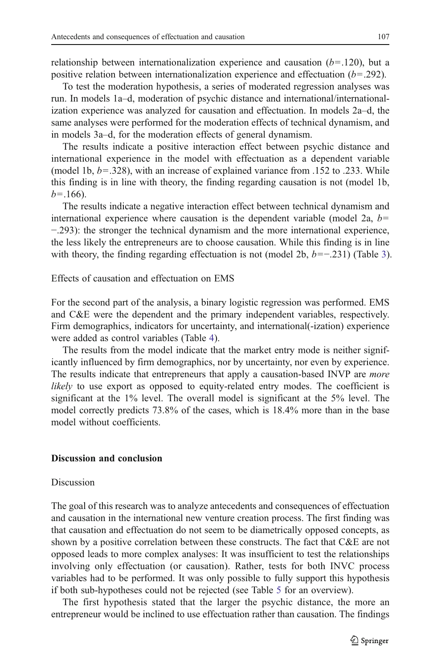relationship between internationalization experience and causation  $(b=120)$ , but a positive relation between internationalization experience and effectuation  $(b=292)$ .

To test the moderation hypothesis, a series of moderated regression analyses was run. In models 1a–d, moderation of psychic distance and international/internationalization experience was analyzed for causation and effectuation. In models 2a–d, the same analyses were performed for the moderation effects of technical dynamism, and in models 3a–d, for the moderation effects of general dynamism.

The results indicate a positive interaction effect between psychic distance and international experience in the model with effectuation as a dependent variable (model 1b,  $b = .328$ ), with an increase of explained variance from .152 to .233. While this finding is in line with theory, the finding regarding causation is not (model 1b,  $b=166$ ).

The results indicate a negative interaction effect between technical dynamism and international experience where causation is the dependent variable (model 2a,  $b=$ −.293): the stronger the technical dynamism and the more international experience, the less likely the entrepreneurs are to choose causation. While this finding is in line with theory, the finding regarding effectuation is not (model 2b,  $b=-.231$  $b=-.231$  $b=-.231$ ) (Table 3).

Effects of causation and effectuation on EMS

For the second part of the analysis, a binary logistic regression was performed. EMS and C&E were the dependent and the primary independent variables, respectively. Firm demographics, indicators for uncertainty, and international(-ization) experience were added as control variables (Table [4\)](#page-14-0).

The results from the model indicate that the market entry mode is neither significantly influenced by firm demographics, nor by uncertainty, nor even by experience. The results indicate that entrepreneurs that apply a causation-based INVP are more likely to use export as opposed to equity-related entry modes. The coefficient is significant at the 1% level. The overall model is significant at the 5% level. The model correctly predicts 73.8% of the cases, which is 18.4% more than in the base model without coefficients.

#### Discussion and conclusion

#### Discussion

The goal of this research was to analyze antecedents and consequences of effectuation and causation in the international new venture creation process. The first finding was that causation and effectuation do not seem to be diametrically opposed concepts, as shown by a positive correlation between these constructs. The fact that C&E are not opposed leads to more complex analyses: It was insufficient to test the relationships involving only effectuation (or causation). Rather, tests for both INVC process variables had to be performed. It was only possible to fully support this hypothesis if both sub-hypotheses could not be rejected (see Table [5](#page-14-0) for an overview).

The first hypothesis stated that the larger the psychic distance, the more an entrepreneur would be inclined to use effectuation rather than causation. The findings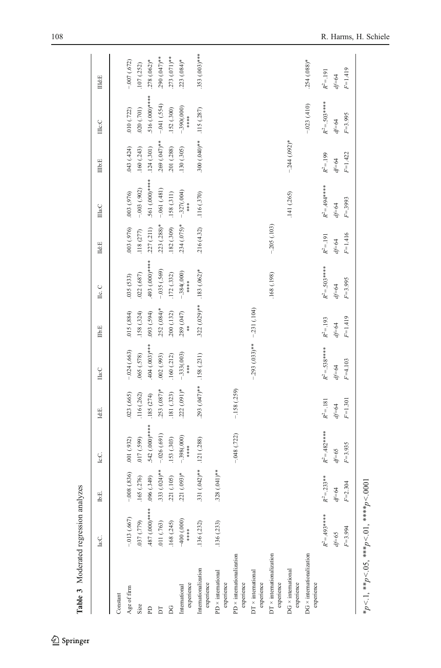<span id="page-13-0"></span>

| Table 3 Moderated regression analyzes          |                 |                            |                       |                              |                         |                |                     |               |                      |                                       |                       |                 |
|------------------------------------------------|-----------------|----------------------------|-----------------------|------------------------------|-------------------------|----------------|---------------------|---------------|----------------------|---------------------------------------|-----------------------|-----------------|
|                                                | la:C.           | Ib:E.                      | Ic:C.                 | Id:E.                        | IIa:C                   | I1b:E          | IIc. C              | $\rm IId: E$  | $\prod a:C$          | IIIb: E                               | $\Pi$ c: $C$          | <b>IIId:E</b>   |
| Constant                                       |                 |                            |                       |                              |                         |                |                     |               |                      |                                       |                       |                 |
| Age of firm                                    | $-013(0.667)$   | $-.008(.836)$              | .001 (.932)           | .023(.665)                   | $-.024(.663)$           | .015(.884)     | .035(533)           | 003 (.976)    | $(976)$ $(976)$      | .043(424)                             | .010(722)             | $-007(672)$     |
| Size                                           | 037 (.779)      | .165 (.276)                | .017 (.599)           | .116 (.262)                  | .065(.578)              | .158 (.324)    | .022(.687)          | .118 $(277)$  | $-.003(.902)$        | .160(.243)                            | .020(.701)            | 107 (.252)      |
| <b>PD</b>                                      | ****(000) 784.  | .096(.349)                 | **** (000) 752.       | .185(274)                    | $***$ (003)             | (662, 660.     | ****(000) 567.      | .227(.211)    | ****(000) 195.       | .124(.301)                            | **** (000) 915.       | .278 (.062)*    |
| Б                                              | .011 (.763)     | $.333(0.024)$ **           | $-.026(.691)$         | $.253(.087)$ *               | (666, 000, 000, 000)    | $.252(.084)$ * | $-.035(.569)$       | $.223(.288)*$ | $-.061(+81)$         | $.269(.047)$ **                       | $-.041(.554)$         | $.290(.047)**$  |
| <b>DG</b>                                      | .168 (.245)     | .221 (.105)                | .153 (.303)           | .181 (.323)                  | .160(.212)              | 200(.132)      | .172 (.332)         | 182 (.309)    | .158(.311)           | 201 (.288)                            | .152 (.300)           | 273 (.071)**    |
| experience<br>International                    | $-400(000)$     | $.221(.093)*$              | $-.398(.000)$<br>**** | $.222(.091)*$                | $-333(.003)$            | .289 $(.047)$  | $-384(.000)$<br>*** | $.234(.075)*$ | $-.327(.004)$<br>*** | .130(.305)                            | $-.390(.000)$<br>**** | $.223(.084)*$   |
| Internationalization<br>experience             | 136 (.232)      | $.331(.042)**$ .121 (.288) |                       | $(0.293)(0.047)*$ (158 (231) |                         | $.322(.029)**$ | $.183(.062)*$       | .216(4.32)    | .116 (.370)          | $(0.82)$ $(0.040)$ ** $(115)$ $(287)$ |                       | $.353(.003)***$ |
| $PD \times$ international<br>experience        | .136(.233)      | $.328(.041)$ **            |                       |                              |                         |                |                     |               |                      |                                       |                       |                 |
| $PD \times$ internationalization<br>experience |                 |                            | $-.048(.722)$         | $-158(259)$                  |                         |                |                     |               |                      |                                       |                       |                 |
| $DT \times$ international<br>experience        |                 |                            |                       |                              | $-293$ $(-801)$ $104$ ) |                |                     |               |                      |                                       |                       |                 |
| $DT \times$ internationalization<br>experience |                 |                            |                       |                              |                         |                | .168 (.198)         | $-.205(.103)$ |                      |                                       |                       |                 |
| $DG \times$ international<br>experience        |                 |                            |                       |                              |                         |                |                     |               | .141 (.265)          | $-244$ $(.092)*$                      |                       |                 |
| $DG \times$ internationalization<br>experience |                 |                            |                       |                              |                         |                |                     |               |                      |                                       | $-0.023(410)$         | $.254(.088)*$   |
|                                                | $R^2 = .493***$ | $R^2 = .233**$             | $R^2 = .482$ ****     | $R^2 = .181$                 | $R^2 = .538***$         | $R^2 = .193$   | $R^2 = .503***$     | $R^2 = 191$   | $R^2 = 494***$       | $R^2 = 199$                           | $R^2 = .503***$       | $R^2 = .191$    |
|                                                | $d=65$          | $d=64$                     | $d=65$                | $df=64$                      | $df = 64$               | $df = 64$      | $d = 64$            | $df = 64$     | $d = 64$             | $d = 64$                              | $df = 64$             | $d = 64$        |
|                                                | $F = 3.994$     | $F = 2.304$                | $F = 3.935$           | $F = 1.301$                  | $F = 4.103$             | $F = 1.419$    | $F = 3.995$         | $F = 1.416$   | $F = 0.3993$         | $F = 1.422$                           | $F = 3.995$           | $F = 1.419$     |
| *p<.1, **p<.05, ***p<.01, ****p<.0001          |                 |                            |                       |                              |                         |                |                     |               |                      |                                       |                       |                 |

 $\underline{\textcircled{\tiny 2}}$  Springer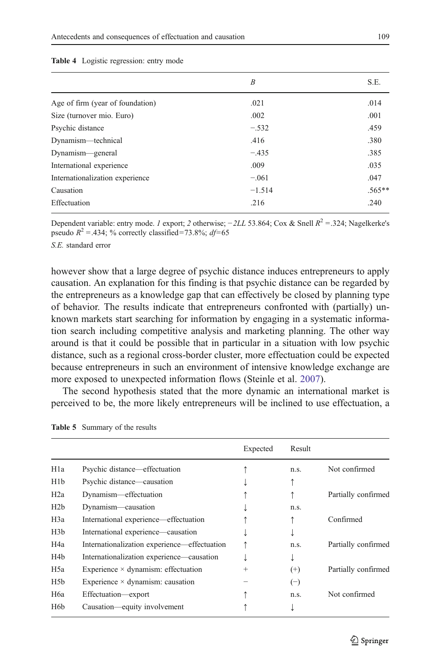|                                  | B        | S.E.     |
|----------------------------------|----------|----------|
| Age of firm (year of foundation) | .021     | .014     |
| Size (turnover mio. Euro)        | .002     | .001     |
| Psychic distance                 | $-.532$  | .459     |
| Dynamism—technical               | .416     | .380     |
| Dynamism-general                 | $-.435$  | .385     |
| International experience         | .009     | .035     |
| Internationalization experience  | $-.061$  | .047     |
| Causation                        | $-1.514$ | $.565**$ |
| Effectuation                     | .216     | .240     |

#### <span id="page-14-0"></span>Table 4 Logistic regression: entry mode

Dependent variable: entry mode. 1 export; 2 otherwise;  $-2LL$  53.864; Cox & Snell  $R^2 = .324$ ; Nagelkerke's pseudo  $R^2 = 434$ ; % correctly classified=73.8%; df=65

S.E. standard error

however show that a large degree of psychic distance induces entrepreneurs to apply causation. An explanation for this finding is that psychic distance can be regarded by the entrepreneurs as a knowledge gap that can effectively be closed by planning type of behavior. The results indicate that entrepreneurs confronted with (partially) unknown markets start searching for information by engaging in a systematic information search including competitive analysis and marketing planning. The other way around is that it could be possible that in particular in a situation with low psychic distance, such as a regional cross-border cluster, more effectuation could be expected because entrepreneurs in such an environment of intensive knowledge exchange are more exposed to unexpected information flows (Steinle et al. [2007](#page-20-0)).

The second hypothesis stated that the more dynamic an international market is perceived to be, the more likely entrepreneurs will be inclined to use effectuation, a

|                  |                                              | Expected | Result   |                     |
|------------------|----------------------------------------------|----------|----------|---------------------|
| H <sub>1</sub> a | Psychic distance—effectuation                |          | n.s.     | Not confirmed       |
| H1b              | Psychic distance—causation                   |          |          |                     |
| H2a              | Dynamism—effectuation                        |          |          | Partially confirmed |
| H2b              | Dynamism-causation                           |          | n.s.     |                     |
| H <sub>3</sub> a | International experience—effectuation        |          |          | Confirmed           |
| H3b              | International experience—causation           |          |          |                     |
| H <sub>4</sub> a | Internationalization experience—effectuation |          | n.s.     | Partially confirmed |
| H <sub>4</sub> b | Internationalization experience—causation    |          | ↓        |                     |
| H5a              | Experience $\times$ dynamism: effectuation   | $^{+}$   | $^{(+)}$ | Partially confirmed |
| H <sub>5</sub> b | Experience $\times$ dynamism: causation      |          | $(-)$    |                     |
| H6a              | Effectuation-export                          |          | n.s.     | Not confirmed       |
| H <sub>6</sub> b | Causation—equity involvement                 |          |          |                     |

| <b>Table 5</b> Summary of the results |  |  |  |
|---------------------------------------|--|--|--|
|---------------------------------------|--|--|--|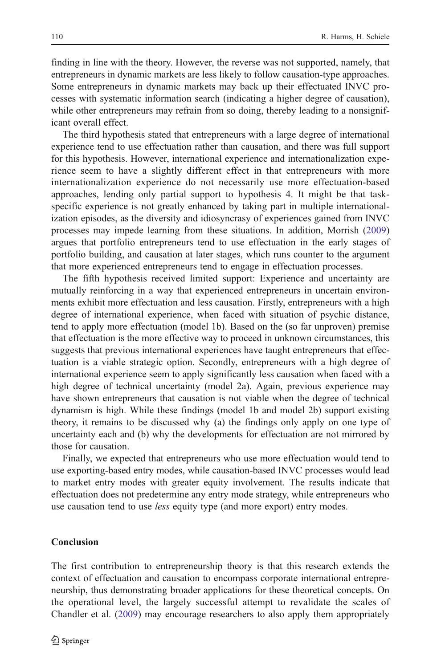finding in line with the theory. However, the reverse was not supported, namely, that entrepreneurs in dynamic markets are less likely to follow causation-type approaches. Some entrepreneurs in dynamic markets may back up their effectuated INVC processes with systematic information search (indicating a higher degree of causation), while other entrepreneurs may refrain from so doing, thereby leading to a nonsignificant overall effect.

The third hypothesis stated that entrepreneurs with a large degree of international experience tend to use effectuation rather than causation, and there was full support for this hypothesis. However, international experience and internationalization experience seem to have a slightly different effect in that entrepreneurs with more internationalization experience do not necessarily use more effectuation-based approaches, lending only partial support to hypothesis 4. It might be that taskspecific experience is not greatly enhanced by taking part in multiple internationalization episodes, as the diversity and idiosyncrasy of experiences gained from INVC processes may impede learning from these situations. In addition, Morrish [\(2009](#page-20-0)) argues that portfolio entrepreneurs tend to use effectuation in the early stages of portfolio building, and causation at later stages, which runs counter to the argument that more experienced entrepreneurs tend to engage in effectuation processes.

The fifth hypothesis received limited support: Experience and uncertainty are mutually reinforcing in a way that experienced entrepreneurs in uncertain environments exhibit more effectuation and less causation. Firstly, entrepreneurs with a high degree of international experience, when faced with situation of psychic distance, tend to apply more effectuation (model 1b). Based on the (so far unproven) premise that effectuation is the more effective way to proceed in unknown circumstances, this suggests that previous international experiences have taught entrepreneurs that effectuation is a viable strategic option. Secondly, entrepreneurs with a high degree of international experience seem to apply significantly less causation when faced with a high degree of technical uncertainty (model 2a). Again, previous experience may have shown entrepreneurs that causation is not viable when the degree of technical dynamism is high. While these findings (model 1b and model 2b) support existing theory, it remains to be discussed why (a) the findings only apply on one type of uncertainty each and (b) why the developments for effectuation are not mirrored by those for causation.

Finally, we expected that entrepreneurs who use more effectuation would tend to use exporting-based entry modes, while causation-based INVC processes would lead to market entry modes with greater equity involvement. The results indicate that effectuation does not predetermine any entry mode strategy, while entrepreneurs who use causation tend to use less equity type (and more export) entry modes.

### Conclusion

The first contribution to entrepreneurship theory is that this research extends the context of effectuation and causation to encompass corporate international entrepreneurship, thus demonstrating broader applications for these theoretical concepts. On the operational level, the largely successful attempt to revalidate the scales of Chandler et al. ([2009\)](#page-19-0) may encourage researchers to also apply them appropriately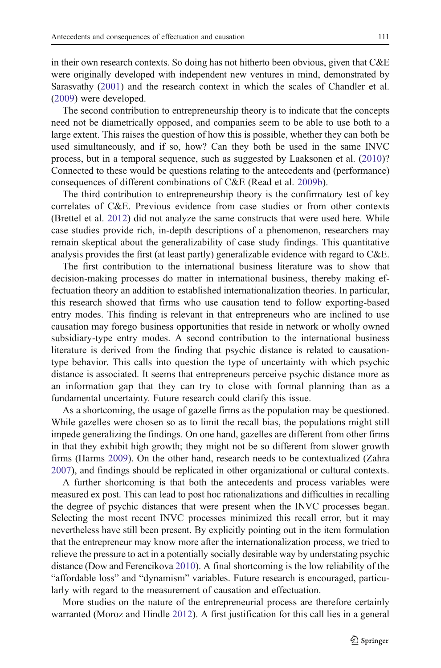in their own research contexts. So doing has not hitherto been obvious, given that C&E were originally developed with independent new ventures in mind, demonstrated by Sarasvathy [\(2001](#page-20-0)) and the research context in which the scales of Chandler et al. [\(2009](#page-19-0)) were developed.

The second contribution to entrepreneurship theory is to indicate that the concepts need not be diametrically opposed, and companies seem to be able to use both to a large extent. This raises the question of how this is possible, whether they can both be used simultaneously, and if so, how? Can they both be used in the same INVC process, but in a temporal sequence, such as suggested by Laaksonen et al. ([2010\)](#page-19-0)? Connected to these would be questions relating to the antecedents and (performance) consequences of different combinations of C&E (Read et al. [2009b](#page-20-0)).

The third contribution to entrepreneurship theory is the confirmatory test of key correlates of C&E. Previous evidence from case studies or from other contexts (Brettel et al. [2012\)](#page-18-0) did not analyze the same constructs that were used here. While case studies provide rich, in-depth descriptions of a phenomenon, researchers may remain skeptical about the generalizability of case study findings. This quantitative analysis provides the first (at least partly) generalizable evidence with regard to C&E.

The first contribution to the international business literature was to show that decision-making processes do matter in international business, thereby making effectuation theory an addition to established internationalization theories. In particular, this research showed that firms who use causation tend to follow exporting-based entry modes. This finding is relevant in that entrepreneurs who are inclined to use causation may forego business opportunities that reside in network or wholly owned subsidiary-type entry modes. A second contribution to the international business literature is derived from the finding that psychic distance is related to causationtype behavior. This calls into question the type of uncertainty with which psychic distance is associated. It seems that entrepreneurs perceive psychic distance more as an information gap that they can try to close with formal planning than as a fundamental uncertainty. Future research could clarify this issue.

As a shortcoming, the usage of gazelle firms as the population may be questioned. While gazelles were chosen so as to limit the recall bias, the populations might still impede generalizing the findings. On one hand, gazelles are different from other firms in that they exhibit high growth; they might not be so different from slower growth firms (Harms [2009\)](#page-19-0). On the other hand, research needs to be contextualized (Zahra [2007\)](#page-21-0), and findings should be replicated in other organizational or cultural contexts.

A further shortcoming is that both the antecedents and process variables were measured ex post. This can lead to post hoc rationalizations and difficulties in recalling the degree of psychic distances that were present when the INVC processes began. Selecting the most recent INVC processes minimized this recall error, but it may nevertheless have still been present. By explicitly pointing out in the item formulation that the entrepreneur may know more after the internationalization process, we tried to relieve the pressure to act in a potentially socially desirable way by understating psychic distance (Dow and Ferencikova [2010\)](#page-19-0). A final shortcoming is the low reliability of the "affordable loss" and "dynamism" variables. Future research is encouraged, particularly with regard to the measurement of causation and effectuation.

More studies on the nature of the entrepreneurial process are therefore certainly warranted (Moroz and Hindle [2012\)](#page-20-0). A first justification for this call lies in a general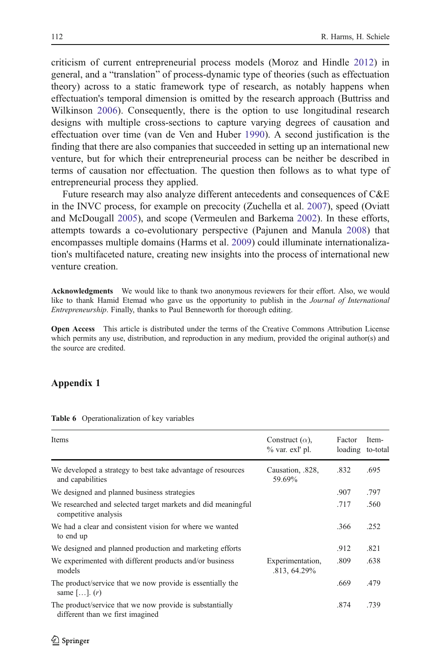<span id="page-17-0"></span>criticism of current entrepreneurial process models (Moroz and Hindle [2012\)](#page-20-0) in general, and a "translation" of process-dynamic type of theories (such as effectuation theory) across to a static framework type of research, as notably happens when effectuation's temporal dimension is omitted by the research approach (Buttriss and Wilkinson [2006](#page-19-0)). Consequently, there is the option to use longitudinal research designs with multiple cross-sections to capture varying degrees of causation and effectuation over time (van de Ven and Huber [1990\)](#page-20-0). A second justification is the finding that there are also companies that succeeded in setting up an international new venture, but for which their entrepreneurial process can be neither be described in terms of causation nor effectuation. The question then follows as to what type of entrepreneurial process they applied.

Future research may also analyze different antecedents and consequences of C&E in the INVC process, for example on precocity (Zuchella et al. [2007](#page-21-0)), speed (Oviatt and McDougall [2005](#page-20-0)), and scope (Vermeulen and Barkema [2002](#page-20-0)). In these efforts, attempts towards a co-evolutionary perspective (Pajunen and Manula [2008\)](#page-20-0) that encompasses multiple domains (Harms et al. [2009\)](#page-19-0) could illuminate internationalization's multifaceted nature, creating new insights into the process of international new venture creation.

Acknowledgments We would like to thank two anonymous reviewers for their effort. Also, we would like to thank Hamid Etemad who gave us the opportunity to publish in the Journal of International Entrepreneurship. Finally, thanks to Paul Benneworth for thorough editing.

Open Access This article is distributed under the terms of the Creative Commons Attribution License which permits any use, distribution, and reproduction in any medium, provided the original author(s) and the source are credited.

### Appendix 1

| Items                                                                                        | Construct $(\alpha)$ ,<br>$%$ var. exl' pl. | Factor | Item-<br>loading to-total |
|----------------------------------------------------------------------------------------------|---------------------------------------------|--------|---------------------------|
| We developed a strategy to best take advantage of resources<br>and capabilities              | Causation, 828.<br>59.69%                   | .832   | .695                      |
| We designed and planned business strategies                                                  |                                             | .907   | .797                      |
| We researched and selected target markets and did meaningful<br>competitive analysis         |                                             | .717   | .560                      |
| We had a clear and consistent vision for where we wanted<br>to end up                        |                                             | .366   | .252                      |
| We designed and planned production and marketing efforts                                     |                                             | .912   | .821                      |
| We experimented with different products and/or business<br>models                            | Experimentation,<br>.813, 64.29%            | .809   | .638                      |
| The product/service that we now provide is essentially the<br>same $[\dots]$ . $(r)$         |                                             | .669   | .479                      |
| The product/service that we now provide is substantially<br>different than we first imagined |                                             | .874   | .739                      |

#### Table 6 Operationalization of key variables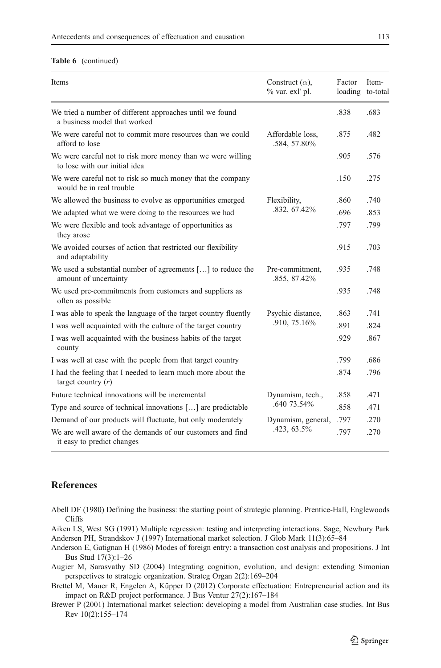<span id="page-18-0"></span>

| Items                                                                                        | Construct $(\alpha)$ ,<br>% var. exl' pl. | Factor | Item-<br>loading to-total |
|----------------------------------------------------------------------------------------------|-------------------------------------------|--------|---------------------------|
| We tried a number of different approaches until we found<br>a business model that worked     |                                           | .838   | .683                      |
| We were careful not to commit more resources than we could<br>afford to lose                 | Affordable loss,<br>.584, 57.80%          | .875   | .482                      |
| We were careful not to risk more money than we were willing<br>to lose with our initial idea |                                           | .905   | .576                      |
| We were careful not to risk so much money that the company<br>would be in real trouble       |                                           | .150   | .275                      |
| We allowed the business to evolve as opportunities emerged                                   | Flexibility,                              | .860   | .740                      |
| We adapted what we were doing to the resources we had                                        | .832, 67.42%                              | .696   | .853                      |
| We were flexible and took advantage of opportunities as<br>they arose                        |                                           | .797   | .799                      |
| We avoided courses of action that restricted our flexibility<br>and adaptability             |                                           | .915   | .703                      |
| We used a substantial number of agreements [] to reduce the<br>amount of uncertainty         | Pre-commitment,<br>.855, 87.42%           | .935   | .748                      |
| We used pre-commitments from customers and suppliers as<br>often as possible                 |                                           | .935   | .748                      |
| I was able to speak the language of the target country fluently                              | Psychic distance,                         | .863   | .741                      |
| I was well acquainted with the culture of the target country                                 | .910, 75.16%                              | .891   | .824                      |
| I was well acquainted with the business habits of the target<br>county                       |                                           | .929   | .867                      |
| I was well at ease with the people from that target country                                  |                                           | .799   | .686                      |
| I had the feeling that I needed to learn much more about the<br>target country $(r)$         |                                           | .874   | .796                      |
| Future technical innovations will be incremental                                             | Dynamism, tech.,                          | .858   | .471                      |
| Type and source of technical innovations [] are predictable                                  | .640 73.54%                               | .858   | .471                      |
| Demand of our products will fluctuate, but only moderately                                   | Dynamism, general,                        | .797   | .270                      |
| We are well aware of the demands of our customers and find<br>it easy to predict changes     | $.423, 63.5\%$                            | .797   | .270                      |

### References

Abell DF (1980) Defining the business: the starting point of strategic planning. Prentice-Hall, Englewoods Cliffs

Aiken LS, West SG (1991) Multiple regression: testing and interpreting interactions. Sage, Newbury Park Andersen PH, Strandskov J (1997) International market selection. J Glob Mark 11(3):65–84

Anderson E, Gatignan H (1986) Modes of foreign entry: a transaction cost analysis and propositions. J Int Bus Stud 17(3):1–26

- Augier M, Sarasvathy SD (2004) Integrating cognition, evolution, and design: extending Simonian perspectives to strategic organization. Strateg Organ 2(2):169–204
- Brettel M, Mauer R, Engelen A, Küpper D (2012) Corporate effectuation: Entrepreneurial action and its impact on R&D project performance. J Bus Ventur 27(2):167–184

Brewer P (2001) International market selection: developing a model from Australian case studies. Int Bus Rev 10(2):155–174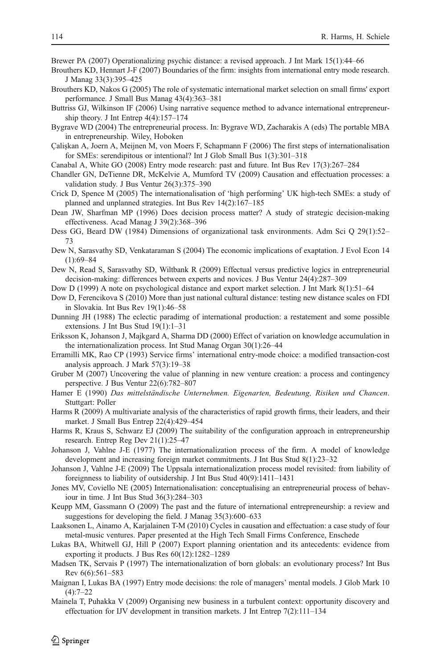<span id="page-19-0"></span>Brewer PA (2007) Operationalizing psychic distance: a revised approach. J Int Mark 15(1):44–66

- Brouthers KD, Hennart J-F (2007) Boundaries of the firm: insights from international entry mode research. J Manag 33(3):395–425
- Brouthers KD, Nakos G (2005) The role of systematic international market selection on small firms' export performance. J Small Bus Manag 43(4):363–381
- Buttriss GJ, Wilkinson IF (2006) Using narrative sequence method to advance international entrepreneurship theory. J Int Entrep 4(4):157–174
- Bygrave WD (2004) The entrepreneurial process. In: Bygrave WD, Zacharakis A (eds) The portable MBA in entrepreneurship. Wiley, Hoboken
- Çalişkan A, Joern A, Meijnen M, von Moers F, Schapmann F (2006) The first steps of internationalisation for SMEs: serendipitous or intentional? Int J Glob Small Bus 1(3):301–318
- Canabal A, White GO (2008) Entry mode research: past and future. Int Bus Rev 17(3):267–284
- Chandler GN, DeTienne DR, McKelvie A, Mumford TV (2009) Causation and effectuation processes: a validation study. J Bus Ventur 26(3):375–390
- Crick D, Spence M (2005) The internationalisation of 'high performing' UK high-tech SMEs: a study of planned and unplanned strategies. Int Bus Rev 14(2):167–185
- Dean JW, Sharfman MP (1996) Does decision process matter? A study of strategic decision-making effectiveness. Acad Manag J 39(2):368–396
- Dess GG, Beard DW (1984) Dimensions of organizational task environments. Adm Sci Q 29(1):52– 73
- Dew N, Sarasvathy SD, Venkataraman S (2004) The economic implications of exaptation. J Evol Econ 14  $(1):69-84$
- Dew N, Read S, Sarasvathy SD, Wiltbank R (2009) Effectual versus predictive logics in entrepreneurial decision-making: differences between experts and novices. J Bus Ventur 24(4):287–309
- Dow D (1999) A note on psychological distance and export market selection. J Int Mark 8(1):51–64
- Dow D, Ferencikova S (2010) More than just national cultural distance: testing new distance scales on FDI in Slovakia. Int Bus Rev 19(1):46–58
- Dunning JH (1988) The eclectic paradimg of international production: a restatement and some possible extensions. J Int Bus Stud 19(1):1–31
- Eriksson K, Johanson J, Majkgard A, Sharma DD (2000) Effect of variation on knowledge accumulation in the internationalization process. Int Stud Manag Organ 30(1):26–44
- Erramilli MK, Rao CP (1993) Service firms' international entry-mode choice: a modified transaction-cost analysis approach. J Mark 57(3):19–38
- Gruber M (2007) Uncovering the value of planning in new venture creation: a process and contingency perspective. J Bus Ventur 22(6):782–807
- Hamer E (1990) Das mittelständische Unternehmen. Eigenarten, Bedeutung, Risiken und Chancen. Stuttgart: Poller
- Harms R (2009) A multivariate analysis of the characteristics of rapid growth firms, their leaders, and their market. J Small Bus Entrep 22(4):429–454
- Harms R, Kraus S, Schwarz EJ (2009) The suitability of the configuration approach in entrepreneurship research. Entrep Reg Dev 21(1):25–47
- Johanson J, Vahlne J-E (1977) The internationalization process of the firm. A model of knowledge development and increasing foreign market commitments. J Int Bus Stud 8(1):23–32
- Johanson J, Vahlne J-E (2009) The Uppsala internationalization process model revisited: from liability of foreignness to liability of outsidership. J Int Bus Stud 40(9):1411–1431
- Jones MV, Coviello NE (2005) Internationalisation: conceptualising an entrepreneurial process of behaviour in time. J Int Bus Stud 36(3):284–303
- Keupp MM, Gassmann O (2009) The past and the future of international entrepreneurship: a review and suggestions for developing the field. J Manag 35(3):600–633
- Laaksonen L, Ainamo A, Karjalainen T-M (2010) Cycles in causation and effectuation: a case study of four metal-music ventures. Paper presented at the High Tech Small Firms Conference, Enschede
- Lukas BA, Whitwell GJ, Hill P (2007) Export planning orientation and its antecedents: evidence from exporting it products. J Bus Res 60(12):1282–1289
- Madsen TK, Servais P (1997) The internationalization of born globals: an evolutionary process? Int Bus Rev 6(6):561–583
- Maignan I, Lukas BA (1997) Entry mode decisions: the role of managers' mental models. J Glob Mark 10  $(4):7-22$
- Mainela T, Puhakka V (2009) Organising new business in a turbulent context: opportunity discovery and effectuation for IJV development in transition markets. J Int Entrep 7(2):111–134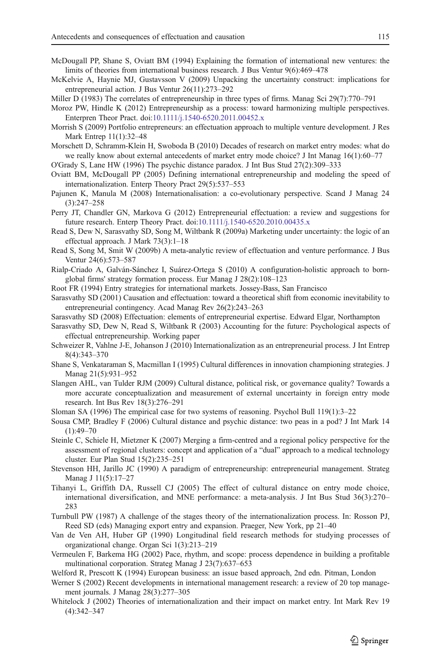- <span id="page-20-0"></span>McDougall PP, Shane S, Oviatt BM (1994) Explaining the formation of international new ventures: the limits of theories from international business research. J Bus Ventur 9(6):469–478
- McKelvie A, Haynie MJ, Gustavsson V (2009) Unpacking the uncertainty construct: implications for entrepreneurial action. J Bus Ventur 26(11):273–292
- Miller D (1983) The correlates of entrepreneurship in three types of firms. Manag Sci 29(7):770–791
- Moroz PW, Hindle K (2012) Entrepreneurship as a process: toward harmonizing multiple perspectives. Enterpren Theor Pract. doi[:10.1111/j.1540-6520.2011.00452.x](http://dx.doi.org/10.1111/j.1540-6520.2011.00452.x)
- Morrish S (2009) Portfolio entrepreneurs: an effectuation approach to multiple venture development. J Res Mark Entrep 11(1):32–48
- Morschett D, Schramm-Klein H, Swoboda B (2010) Decades of research on market entry modes: what do we really know about external antecedents of market entry mode choice? J Int Manag 16(1):60–77

O'Grady S, Lane HW (1996) The psychic distance paradox. J Int Bus Stud 27(2):309–333

- Oviatt BM, McDougall PP (2005) Defining international entrepreneurship and modeling the speed of internationalization. Enterp Theory Pract 29(5):537–553
- Pajunen K, Manula M (2008) Internationalisation: a co-evolutionary perspective. Scand J Manag 24 (3):247–258
- Perry JT, Chandler GN, Markova G (2012) Entrepreneurial effectuation: a review and suggestions for future research. Enterp Theory Pract. doi:[10.1111/j.1540-6520.2010.00435.x](http://dx.doi.org/10.1111/j.1540-6520.2010.00435.x)
- Read S, Dew N, Sarasvathy SD, Song M, Wiltbank R (2009a) Marketing under uncertainty: the logic of an effectual approach. J Mark 73(3):1–18
- Read S, Song M, Smit W (2009b) A meta-analytic review of effectuation and venture performance. J Bus Ventur 24(6):573–587
- Rialp-Criado A, Galván-Sánchez I, Suárez-Ortega S (2010) A configuration-holistic approach to bornglobal firms' strategy formation process. Eur Manag J 28(2):108–123
- Root FR (1994) Entry strategies for international markets. Jossey-Bass, San Francisco
- Sarasvathy SD (2001) Causation and effectuation: toward a theoretical shift from economic inevitability to entrepreneurial contingency. Acad Manag Rev 26(2):243–263
- Sarasvathy SD (2008) Effectuation: elements of entrepreneurial expertise. Edward Elgar, Northampton
- Sarasvathy SD, Dew N, Read S, Wiltbank R (2003) Accounting for the future: Psychological aspects of effectual entrepreneurship. Working paper
- Schweizer R, Vahlne J-E, Johanson J (2010) Internationalization as an entrepreneurial process. J Int Entrep 8(4):343–370
- Shane S, Venkataraman S, Macmillan I (1995) Cultural differences in innovation championing strategies. J Manag 21(5):931–952
- Slangen AHL, van Tulder RJM (2009) Cultural distance, political risk, or governance quality? Towards a more accurate conceptualization and measurement of external uncertainty in foreign entry mode research. Int Bus Rev 18(3):276–291
- Sloman SA (1996) The empirical case for two systems of reasoning. Psychol Bull 119(1):3–22
- Sousa CMP, Bradley F (2006) Cultural distance and psychic distance: two peas in a pod? J Int Mark 14  $(1):49-70$
- Steinle C, Schiele H, Mietzner K (2007) Merging a firm-centred and a regional policy perspective for the assessment of regional clusters: concept and application of a "dual" approach to a medical technology cluster. Eur Plan Stud 15(2):235–251
- Stevenson HH, Jarillo JC (1990) A paradigm of entrepreneurship: entrepreneurial management. Strateg Manag J 11(5):17–27
- Tihanyi L, Griffith DA, Russell CJ (2005) The effect of cultural distance on entry mode choice, international diversification, and MNE performance: a meta-analysis. J Int Bus Stud 36(3):270– 283
- Turnbull PW (1987) A challenge of the stages theory of the internationalization process. In: Rosson PJ, Reed SD (eds) Managing export entry and expansion. Praeger, New York, pp 21–40
- Van de Ven AH, Huber GP (1990) Longitudinal field research methods for studying processes of organizational change. Organ Sci 1(3):213–219
- Vermeulen F, Barkema HG (2002) Pace, rhythm, and scope: process dependence in building a profitable multinational corporation. Strateg Manag J 23(7):637–653
- Welford R, Prescott K (1994) European business: an issue based approach, 2nd edn. Pitman, London
- Werner S (2002) Recent developments in international management research: a review of 20 top management journals. J Manag 28(3):277–305
- Whitelock J (2002) Theories of internationalization and their impact on market entry. Int Mark Rev 19 (4):342–347